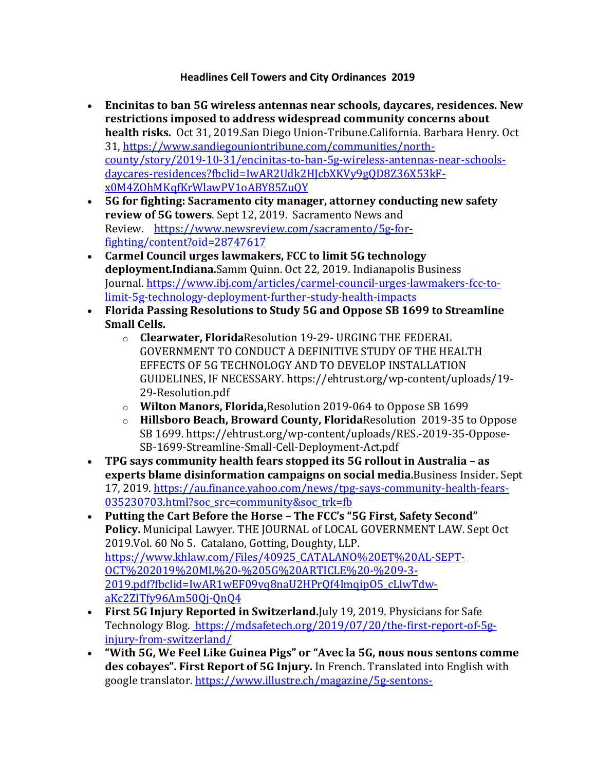## **Headlines Cell Towers and City Ordinances 2019**

- Encinitas to ban 5G wireless antennas near schools, daycares, residences. New restrictions imposed to address widespread community concerns about **health risks.** Oct 31, 2019.San Diego Union-Tribune.California. Barbara Henry. Oct 31, https://www.sandiegouniontribune.com/communities/northcounty/story/2019-10-31/encinitas-to-ban-5g-wireless-antennas-near-schoolsdaycares-residences?fbclid=IwAR2Udk2HJcbXKVy9gQD8Z36X53kFx0M4ZOhMKqfKrWlawPV1oABY85ZuQY
- 5G for fighting: Sacramento city manager, attorney conducting new safety **review of 5G towers.** Sept 12, 2019. Sacramento News and Review. https://www.newsreview.com/sacramento/5g-forfighting/content?oid=28747617
- Carmel Council urges lawmakers, FCC to limit 5G technology deployment.Indiana.Samm Quinn. Oct 22, 2019. Indianapolis Business Journal. https://www.ibj.com/articles/carmel-council-urges-lawmakers-fcc-tolimit-5g-technology-deployment-further-study-health-impacts
- Florida Passing Resolutions to Study 5G and Oppose SB 1699 to Streamline **Small Cells.**
	- o **Clearwater, Florida**Resolution 19-29- URGING THE FEDERAL GOVERNMENT TO CONDUCT A DEFINITIVE STUDY OF THE HEALTH EFFECTS OF 5G TECHNOLOGY AND TO DEVELOP INSTALLATION GUIDELINES, IF NECESSARY. https://ehtrust.org/wp-content/uploads/19-29-Resolution.pdf
	- o **Wilton Manors, Florida, Resolution 2019-064 to Oppose SB 1699**
	- o **Hillsboro Beach, Broward County, Florida** Resolution 2019-35 to Oppose SB 1699. https://ehtrust.org/wp-content/uploads/RES.-2019-35-Oppose-SB-1699-Streamline-Small-Cell-Deployment-Act.pdf
- TPG says community health fears stopped its 5G rollout in Australia as **experts blame disinformation campaigns on social media.**Business Insider. Sept 17, 2019. https://au.finance.yahoo.com/news/tpg-says-community-health-fears-035230703.html?soc\_src=community&soc\_trk=fb
- Putting the Cart Before the Horse The FCC's "5G First, Safety Second" Policy. Municipal Lawyer. THE JOURNAL of LOCAL GOVERNMENT LAW. Sept Oct 2019. Vol. 60 No 5. Catalano, Gotting, Doughty, LLP. https://www.khlaw.com/Files/40925\_CATALANO%20ET%20AL-SEPT-OCT%202019%20ML%20-%205G%20ARTICLE%20-%209-3- 2019.pdf?fbclid=IwAR1wEF09vq8naU2HPrQf4ImqipO5\_cLlwTdwaKc2ZlTfy96Am50Qj-QnQ4
- First 5G Injury Reported in Switzerland. July 19, 2019. Physicians for Safe Technology Blog. https://mdsafetech.org/2019/07/20/the-first-report-of-5ginjury-from-switzerland/
- **"With 5G, We Feel Like Guinea Pigs" or "Avec la 5G, nous nous sentons comme** des cobayes". First Report of 5G Injury. In French. Translated into English with google translator. https://www.illustre.ch/magazine/5g-sentons-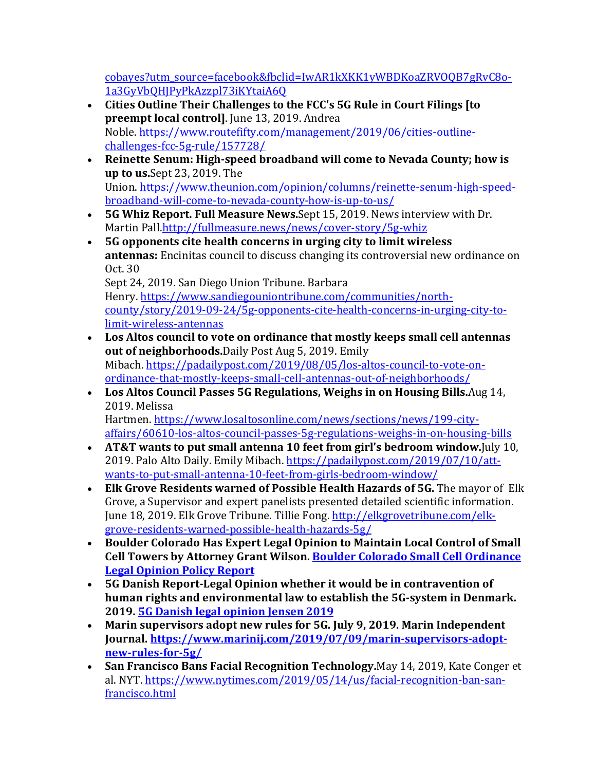cobayes?utm\_source=facebook&fbclid=IwAR1kXKK1yWBDKoaZRVOQB7gRvC8o-1a3GyVbQHJPyPkAzzpl73iKYtaiA6Q

- Cities Outline Their Challenges to the FCC's 5G Rule in Court Filings [to **preempt local controll**. June 13, 2019. Andrea Noble. https://www.routefifty.com/management/2019/06/cities-outlinechallenges-fcc-5g-rule/157728/
- Reinette Senum: High-speed broadband will come to Nevada County; how is **up to us.**Sept 23, 2019. The Union. https://www.theunion.com/opinion/columns/reinette-senum-high-speedbroadband-will-come-to-nevada-county-how-is-up-to-us/
- 5G Whiz Report. Full Measure News.Sept 15, 2019. News interview with Dr. Martin Pall.http://fullmeasure.news/news/cover-story/5g-whiz
- 5G opponents cite health concerns in urging city to limit wireless **antennas:** Encinitas council to discuss changing its controversial new ordinance on Oct. 30

Sept 24, 2019. San Diego Union Tribune. Barbara Henry. https://www.sandiegouniontribune.com/communities/northcounty/story/2019-09-24/5g-opponents-cite-health-concerns-in-urging-city-tolimit-wireless-antennas

- Los Altos council to vote on ordinance that mostly keeps small cell antennas **out of neighborhoods.**Daily Post Aug 5, 2019. Emily Mibach. https://padailypost.com/2019/08/05/los-altos-council-to-vote-onordinance-that-mostly-keeps-small-cell-antennas-out-of-neighborhoods/
- Los Altos Council Passes 5G Regulations, Weighs in on Housing Bills. Aug 14, 2019. Melissa Hartmen. https://www.losaltosonline.com/news/sections/news/199-city-

affairs/60610-los-altos-council-passes-5g-regulations-weighs-in-on-housing-bills

- AT&T wants to put small antenna 10 feet from girl's bedroom window. [uly 10, 2019. Palo Alto Daily. Emily Mibach. https://padailypost.com/2019/07/10/attwants-to-put-small-antenna-10-feet-from-girls-bedroom-window/
- Elk Grove Residents warned of Possible Health Hazards of 5G. The mayor of Elk Grove, a Supervisor and expert panelists presented detailed scientific information. June 18, 2019. Elk Grove Tribune. Tillie Fong. http://elkgrovetribune.com/elkgrove-residents-warned-possible-health-hazards-5g/
- Boulder Colorado Has Expert Legal Opinion to Maintain Local Control of Small **Cell Towers by Attorney Grant Wilson. Boulder Colorado Small Cell Ordinance Legal Opinion Policy Report**
- 5G Danish Report-Legal Opinion whether it would be in contravention of human rights and environmental law to establish the 5G-system in Denmark. **2019. 5G Danish legal opinion Jensen 2019**
- Marin supervisors adopt new rules for 5G. July 9, 2019. Marin Independent **Journal. https://www.marinij.com/2019/07/09/marin-supervisors-adoptnew-rules-for-5g/**
- San Francisco Bans Facial Recognition Technology.May 14, 2019, Kate Conger et al. NYT. https://www.nytimes.com/2019/05/14/us/facial-recognition-ban-sanfrancisco.html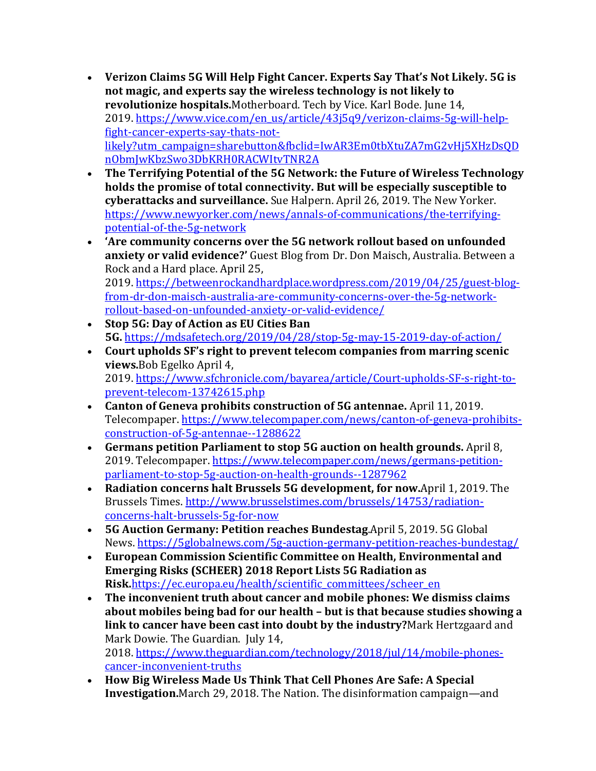- Verizon Claims 5G Will Help Fight Cancer. Experts Say That's Not Likely. 5G is not magic, and experts say the wireless technology is not likely to revolutionize hospitals.Motherboard. Tech by Vice. Karl Bode. June 14, 2019. https://www.vice.com/en\_us/article/43j5q9/verizon-claims-5g-will-helpfight-cancer-experts-say-thats-notlikely?utm\_campaign=sharebutton&fbclid=IwAR3Em0tbXtuZA7mG2vHj5XHzDsQD nObmJwKbzSwo3DbKRH0RACWItvTNR2A
- The Terrifying Potential of the 5G Network: the Future of Wireless Technology holds the promise of total connectivity. But will be especially susceptible to **cyberattacks and surveillance.** Sue Halpern. April 26, 2019. The New Yorker. https://www.newyorker.com/news/annals-of-communications/the-terrifyingpotential-of-the-5g-network
- 'Are community concerns over the 5G network rollout based on unfounded **anxiety or valid evidence?'** Guest Blog from Dr. Don Maisch, Australia. Between a Rock and a Hard place. April 25, 2019. https://betweenrockandhardplace.wordpress.com/2019/04/25/guest-blogfrom-dr-don-maisch-australia-are-community-concerns-over-the-5g-networkrollout-based-on-unfounded-anxiety-or-valid-evidence/
- Stop 5G: Day of Action as EU Cities Ban **5G.** https://mdsafetech.org/2019/04/28/stop-5g-may-15-2019-day-of-action/
- Court upholds SF's right to prevent telecom companies from marring scenic **views.**Bob Egelko April 4, 2019. https://www.sfchronicle.com/bayarea/article/Court-upholds-SF-s-right-toprevent-telecom-13742615.php
- Canton of Geneva prohibits construction of 5G antennae. April 11, 2019. Telecompaper. https://www.telecompaper.com/news/canton-of-geneva-prohibitsconstruction-of-5g-antennae--1288622
- Germans petition Parliament to stop 5G auction on health grounds. April 8, 2019. Telecompaper. https://www.telecompaper.com/news/germans-petitionparliament-to-stop-5g-auction-on-health-grounds--1287962
- Radiation concerns halt Brussels 5G development, for now.April 1, 2019. The Brussels Times. http://www.brusselstimes.com/brussels/14753/radiationconcerns-halt-brussels-5g-for-now
- **5G Auction Germany: Petition reaches Bundestag.**April 5, 2019. 5G Global News. https://5globalnews.com/5g-auction-germany-petition-reaches-bundestag/
- European Commission Scientific Committee on Health, Environmental and **Emerging Risks (SCHEER) 2018 Report Lists 5G Radiation as Risk.**https://ec.europa.eu/health/scientific\_committees/scheer\_en
- The inconvenient truth about cancer and mobile phones: We dismiss claims about mobiles being bad for our health – but is that because studies showing a **link to cancer have been cast into doubt by the industry?**Mark Hertzgaard and Mark Dowie. The Guardian. July 14, 2018. https://www.theguardian.com/technology/2018/jul/14/mobile-phonescancer-inconvenient-truths
- How Big Wireless Made Us Think That Cell Phones Are Safe: A Special **Investigation.**March 29, 2018. The Nation. The disinformation campaign—and